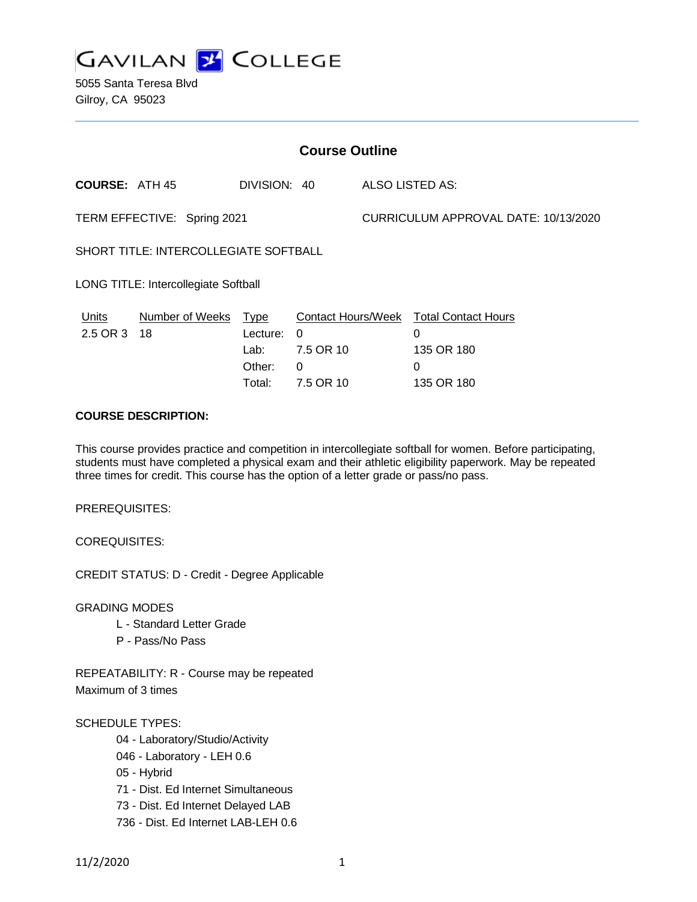

5055 Santa Teresa Blvd Gilroy, CA 95023

| <b>Course Outline</b>                        |                       |                                                     |                                                                      |                                      |                                                                  |
|----------------------------------------------|-----------------------|-----------------------------------------------------|----------------------------------------------------------------------|--------------------------------------|------------------------------------------------------------------|
| <b>COURSE: ATH 45</b>                        |                       | DIVISION: 40                                        |                                                                      | ALSO LISTED AS:                      |                                                                  |
| TERM EFFECTIVE: Spring 2021                  |                       |                                                     |                                                                      | CURRICULUM APPROVAL DATE: 10/13/2020 |                                                                  |
| <b>SHORT TITLE: INTERCOLLEGIATE SOFTBALL</b> |                       |                                                     |                                                                      |                                      |                                                                  |
| LONG TITLE: Intercollegiate Softball         |                       |                                                     |                                                                      |                                      |                                                                  |
| <b>Units</b><br>2.5 OR 3                     | Number of Weeks<br>18 | <u>Type</u><br>Lecture:<br>Lab:<br>Other:<br>Total: | <b>Contact Hours/Week</b><br>$\Omega$<br>7.5 OR 10<br>0<br>7.5 OR 10 |                                      | <b>Total Contact Hours</b><br>0<br>135 OR 180<br>0<br>135 OR 180 |

# **COURSE DESCRIPTION:**

This course provides practice and competition in intercollegiate softball for women. Before participating, students must have completed a physical exam and their athletic eligibility paperwork. May be repeated three times for credit. This course has the option of a letter grade or pass/no pass.

PREREQUISITES:

COREQUISITES:

CREDIT STATUS: D - Credit - Degree Applicable

GRADING MODES

- L Standard Letter Grade
- P Pass/No Pass

REPEATABILITY: R - Course may be repeated Maximum of 3 times

## SCHEDULE TYPES:

- 04 Laboratory/Studio/Activity
- 046 Laboratory LEH 0.6
- 05 Hybrid
- 71 Dist. Ed Internet Simultaneous
- 73 Dist. Ed Internet Delayed LAB
- 736 Dist. Ed Internet LAB-LEH 0.6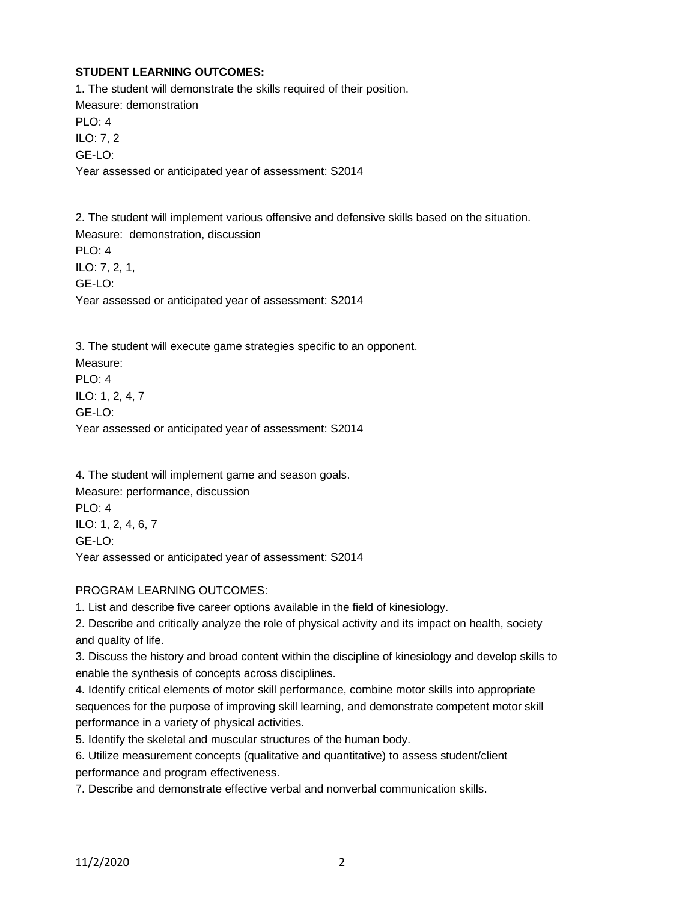# **STUDENT LEARNING OUTCOMES:**

1. The student will demonstrate the skills required of their position. Measure: demonstration PLO: 4 ILO: 7, 2 GE-LO: Year assessed or anticipated year of assessment: S2014

2. The student will implement various offensive and defensive skills based on the situation. Measure: demonstration, discussion PLO: 4 ILO: 7, 2, 1, GE-LO: Year assessed or anticipated year of assessment: S2014

3. The student will execute game strategies specific to an opponent. Measure: PLO: 4 ILO: 1, 2, 4, 7 GE-LO: Year assessed or anticipated year of assessment: S2014

4. The student will implement game and season goals. Measure: performance, discussion PLO: 4 ILO: 1, 2, 4, 6, 7 GE-LO: Year assessed or anticipated year of assessment: S2014

## PROGRAM LEARNING OUTCOMES:

1. List and describe five career options available in the field of kinesiology.

2. Describe and critically analyze the role of physical activity and its impact on health, society and quality of life.

3. Discuss the history and broad content within the discipline of kinesiology and develop skills to enable the synthesis of concepts across disciplines.

4. Identify critical elements of motor skill performance, combine motor skills into appropriate sequences for the purpose of improving skill learning, and demonstrate competent motor skill performance in a variety of physical activities.

5. Identify the skeletal and muscular structures of the human body.

6. Utilize measurement concepts (qualitative and quantitative) to assess student/client performance and program effectiveness.

7. Describe and demonstrate effective verbal and nonverbal communication skills.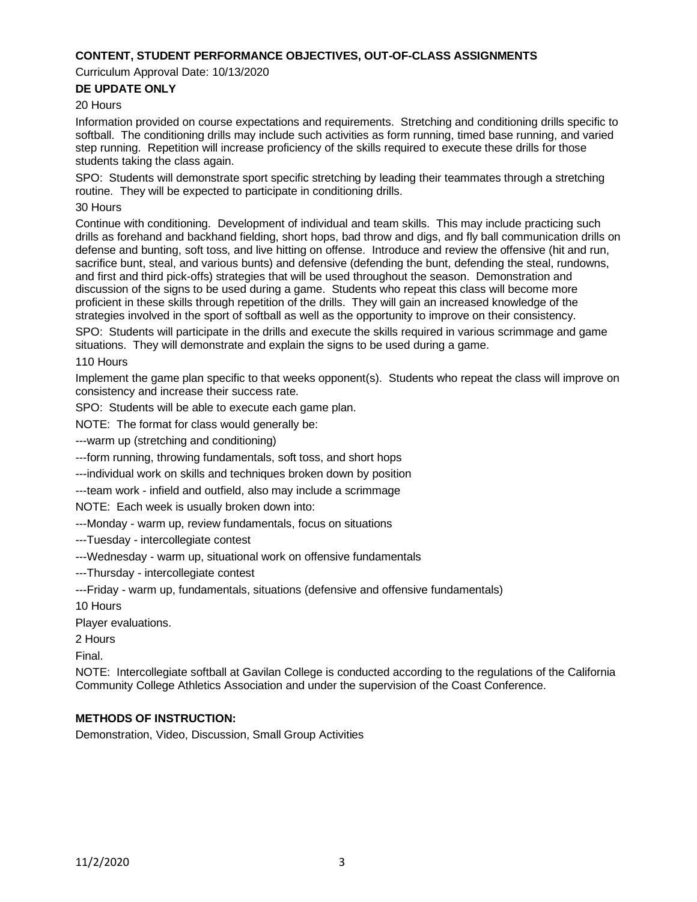### **CONTENT, STUDENT PERFORMANCE OBJECTIVES, OUT-OF-CLASS ASSIGNMENTS**

Curriculum Approval Date: 10/13/2020

### **DE UPDATE ONLY**

#### 20 Hours

Information provided on course expectations and requirements. Stretching and conditioning drills specific to softball. The conditioning drills may include such activities as form running, timed base running, and varied step running. Repetition will increase proficiency of the skills required to execute these drills for those students taking the class again.

SPO: Students will demonstrate sport specific stretching by leading their teammates through a stretching routine. They will be expected to participate in conditioning drills.

### 30 Hours

Continue with conditioning. Development of individual and team skills. This may include practicing such drills as forehand and backhand fielding, short hops, bad throw and digs, and fly ball communication drills on defense and bunting, soft toss, and live hitting on offense. Introduce and review the offensive (hit and run, sacrifice bunt, steal, and various bunts) and defensive (defending the bunt, defending the steal, rundowns, and first and third pick-offs) strategies that will be used throughout the season. Demonstration and discussion of the signs to be used during a game. Students who repeat this class will become more proficient in these skills through repetition of the drills. They will gain an increased knowledge of the strategies involved in the sport of softball as well as the opportunity to improve on their consistency.

SPO: Students will participate in the drills and execute the skills required in various scrimmage and game situations. They will demonstrate and explain the signs to be used during a game.

110 Hours

Implement the game plan specific to that weeks opponent(s). Students who repeat the class will improve on consistency and increase their success rate.

SPO: Students will be able to execute each game plan.

NOTE: The format for class would generally be:

---warm up (stretching and conditioning)

---form running, throwing fundamentals, soft toss, and short hops

---individual work on skills and techniques broken down by position

---team work - infield and outfield, also may include a scrimmage

NOTE: Each week is usually broken down into:

---Monday - warm up, review fundamentals, focus on situations

---Tuesday - intercollegiate contest

---Wednesday - warm up, situational work on offensive fundamentals

---Thursday - intercollegiate contest

---Friday - warm up, fundamentals, situations (defensive and offensive fundamentals)

10 Hours

Player evaluations.

2 Hours

Final.

NOTE: Intercollegiate softball at Gavilan College is conducted according to the regulations of the California Community College Athletics Association and under the supervision of the Coast Conference.

### **METHODS OF INSTRUCTION:**

Demonstration, Video, Discussion, Small Group Activities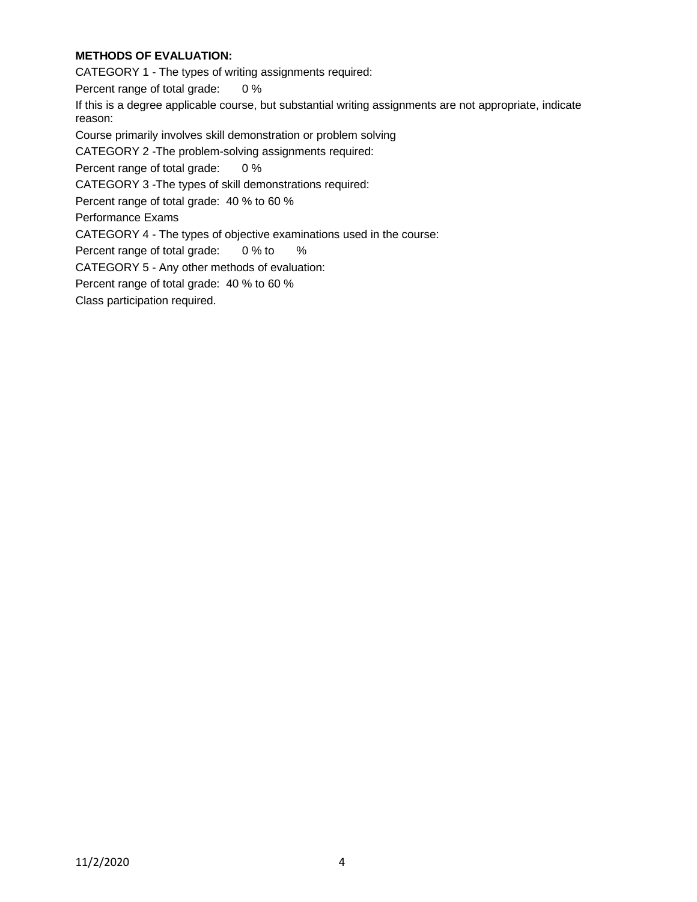# **METHODS OF EVALUATION:**

CATEGORY 1 - The types of writing assignments required:

Percent range of total grade: 0 %

If this is a degree applicable course, but substantial writing assignments are not appropriate, indicate reason:

Course primarily involves skill demonstration or problem solving

CATEGORY 2 -The problem-solving assignments required:

Percent range of total grade: 0 %

CATEGORY 3 -The types of skill demonstrations required:

Percent range of total grade: 40 % to 60 %

Performance Exams

CATEGORY 4 - The types of objective examinations used in the course:

Percent range of total grade: 0 % to %

CATEGORY 5 - Any other methods of evaluation:

Percent range of total grade: 40 % to 60 %

Class participation required.